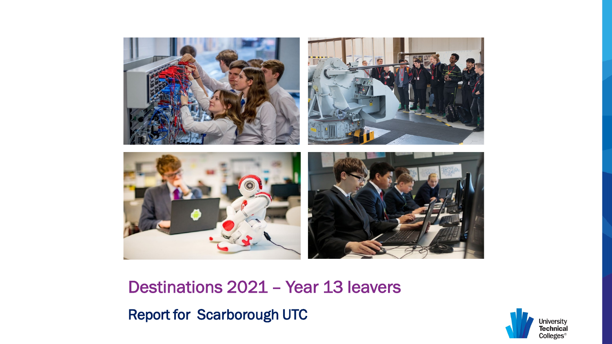

Destinations 2021 – Year 13 leavers

Report for Scarborough UTC

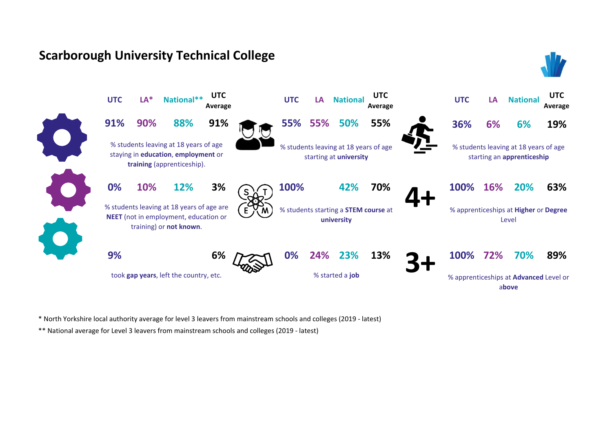



\* North Yorkshire local authority average for level 3 leavers from mainstream schools and colleges (2019 - latest)

\*\* National average for Level 3 leavers from mainstream schools and colleges (2019 - latest)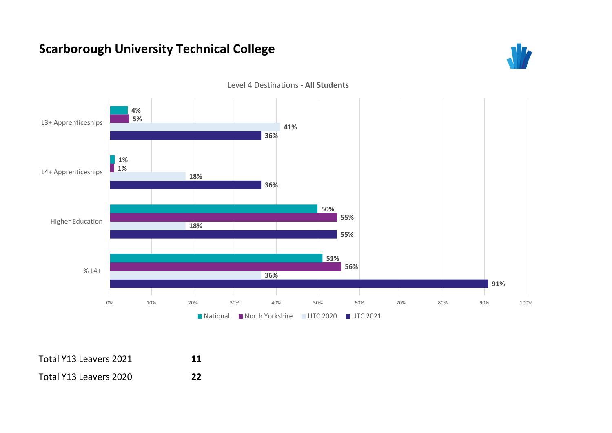



Level 4 Destinations **- All Students**

| Total Y13 Leavers 2021 | 11 |
|------------------------|----|
| Total Y13 Leavers 2020 | 22 |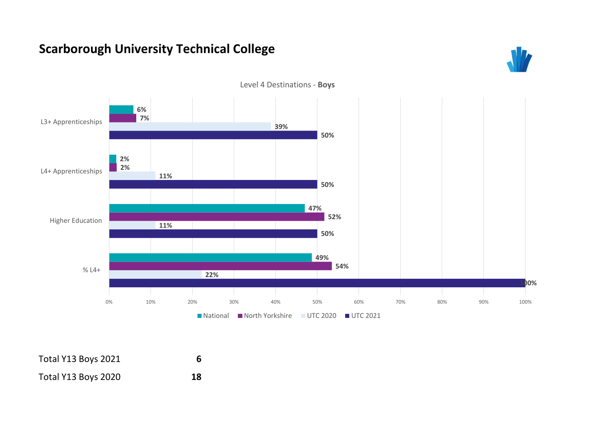



Level 4 Destinations - **Boys**

| Total Y13 Boys 2021 |    |
|---------------------|----|
| Total Y13 Boys 2020 | 18 |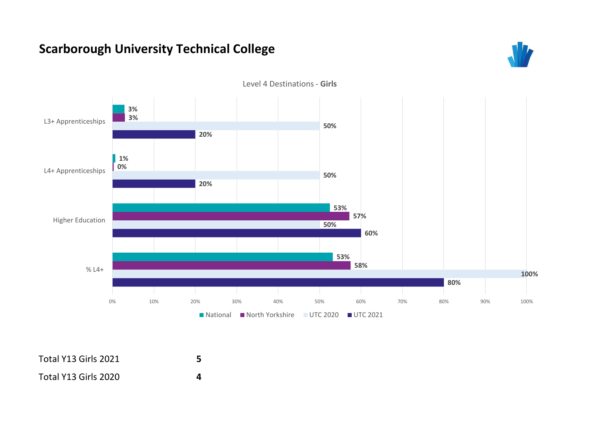



Level 4 Destinations - **Girls**

| Total Y13 Girls 2021 |  |
|----------------------|--|
| Total Y13 Girls 2020 |  |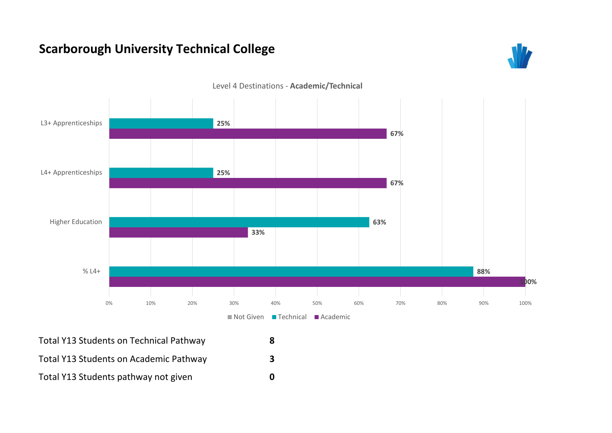



Level 4 Destinations - **Academic/Technical**

Total Y13 Students on Technical Pathway **8** Total Y13 Students on Academic Pathway **3** Total Y13 Students pathway not given **0**